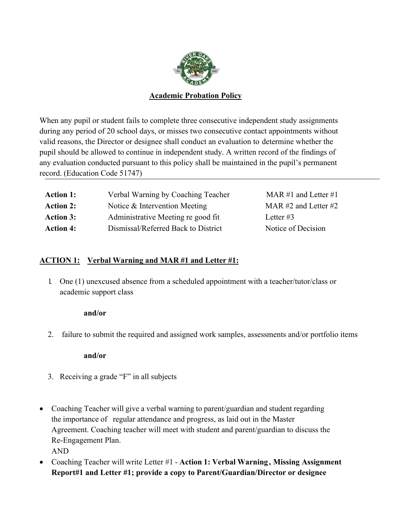

### **Academic Probation Policy**

When any pupil or student fails to complete three consecutive independent study assignments during any period of 20 school days, or misses two consecutive contact appointments without valid reasons, the Director or designee shall conduct an evaluation to determine whether the pupil should be allowed to continue in independent study. A written record of the findings of any evaluation conducted pursuant to this policy shall be maintained in the pupil's permanent record. (Education Code 51747)

| <b>Action 1:</b> | Verbal Warning by Coaching Teacher  | MAR #1 and Letter #1     |
|------------------|-------------------------------------|--------------------------|
| <b>Action 2:</b> | Notice & Intervention Meeting       | MAR $#2$ and Letter $#2$ |
| <b>Action 3:</b> | Administrative Meeting re good fit  | Letter $#3$              |
| <b>Action 4:</b> | Dismissal/Referred Back to District | Notice of Decision       |
|                  |                                     |                          |

#### **ACTION 1: Verbal Warning and MAR #1 and Letter #1:**

1. One (1) unexcused absence from a scheduled appointment with a teacher/tutor/class or academic support class

#### **and/or**

2. failure to submit the required and assigned work samples, assessments and/or portfolio items

**and/or**

- 3. Receiving a grade "F" in all subjects
- Coaching Teacher will give a verbal warning to parent/guardian and student regarding the importance of regular attendance and progress, as laid out in the Master Agreement. Coaching teacher will meet with student and parent/guardian to discuss the Re-Engagement Plan. AND
- Coaching Teacher will write Letter #1 **Action 1: Verbal Warning , Missing Assignment Report#1 and Letter #1; provide a copy to Parent/Guardian/Director or designee**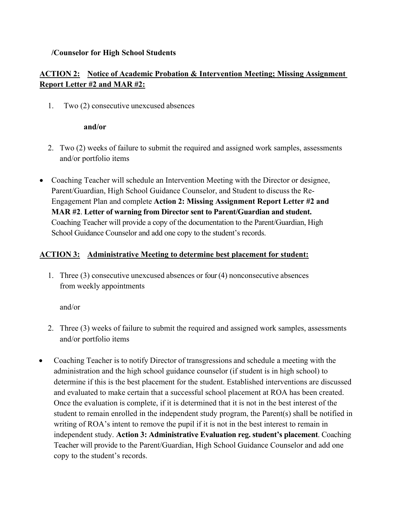#### **/Counselor for High School Students**

# **ACTION 2: Notice of Academic Probation & Intervention Meeting; Missing Assignment Report Letter #2 and MAR #2:**

1. Two (2) consecutive unexcused absences

#### **and/or**

- 2. Two (2) weeks of failure to submit the required and assigned work samples, assessments and/or portfolio items
- Coaching Teacher will schedule an Intervention Meeting with the Director or designee, Parent/Guardian, High School Guidance Counselor, and Student to discuss the Re-Engagement Plan and complete **Action 2: Missing Assignment Report Letter #2 and MAR #2**. **Letter of warning from Director sent to Parent/Guardian and student.** Coaching Teacher will provide a copy of the documentation to the Parent/Guardian, High School Guidance Counselor and add one copy to the student's records.

### **ACTION 3: Administrative Meeting to determine best placement for student:**

1. Three (3) consecutive unexcused absences or four (4) nonconsecutive absences from weekly appointments

and/or

- 2. Three (3) weeks of failure to submit the required and assigned work samples, assessments and/or portfolio items
- Coaching Teacher is to notify Director of transgressions and schedule a meeting with the administration and the high school guidance counselor (if student is in high school) to determine if this is the best placement for the student. Established interventions are discussed and evaluated to make certain that a successful school placement at ROA has been created. Once the evaluation is complete, if it is determined that it is not in the best interest of the student to remain enrolled in the independent study program, the Parent(s) shall be notified in writing of ROA's intent to remove the pupil if it is not in the best interest to remain in independent study. **Action 3: Administrative Evaluation reg. student's placement**. Coaching Teacher will provide to the Parent/Guardian, High School Guidance Counselor and add one copy to the student's records.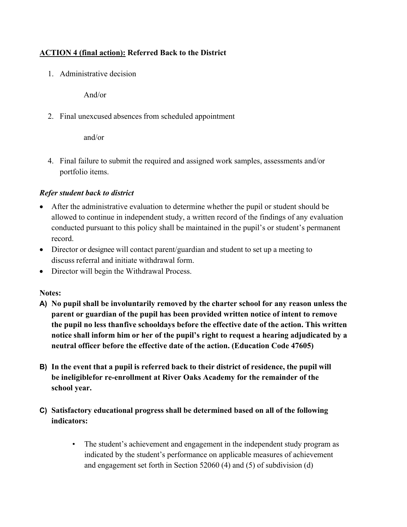## **ACTION 4 (final action): Referred Back to the District**

1. Administrative decision

And/or

2. Final unexcused absences from scheduled appointment

and/or

4. Final failure to submit the required and assigned work samples, assessments and/or portfolio items.

## *Refer student back to district*

- After the administrative evaluation to determine whether the pupil or student should be allowed to continue in independent study, a written record of the findings of any evaluation conducted pursuant to this policy shall be maintained in the pupil's or student's permanent record.
- Director or designee will contact parent/guardian and student to set up a meeting to discuss referral and initiate withdrawal form.
- Director will begin the Withdrawal Process.

### **Notes:**

- **A) No pupil shall be involuntarily removed by the charter school for any reason unless the parent or guardian of the pupil has been provided written notice of intent to remove the pupil no less thanfive schooldays before the effective date of the action. This written notice shall inform him or her of the pupil's right to request a hearing adjudicated by a neutral officer before the effective date of the action. (Education Code 47605)**
- **B) In the event that a pupil is referred back to their district of residence, the pupil will be ineligiblefor re-enrollment at River Oaks Academy for the remainder of the school year.**

# **C) Satisfactory educational progress shall be determined based on all of the following indicators:**

• The student's achievement and engagement in the independent study program as indicated by the student's performance on applicable measures of achievement and engagement set forth in Section 52060 (4) and (5) of subdivision (d)